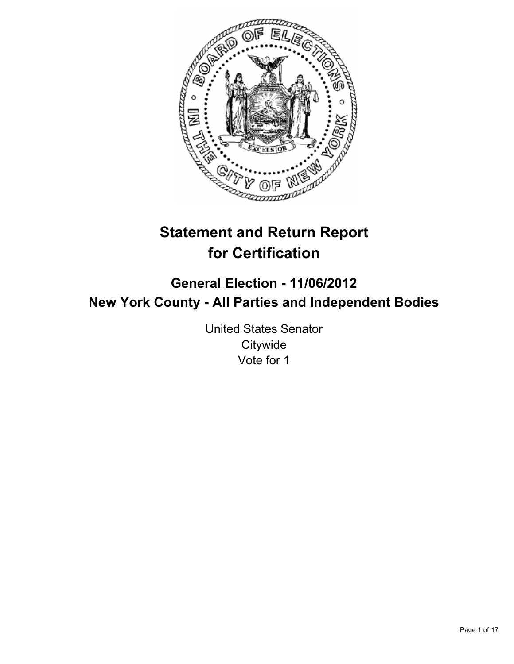

# **Statement and Return Report for Certification**

## **General Election - 11/06/2012 New York County - All Parties and Independent Bodies**

United States Senator **Citywide** Vote for 1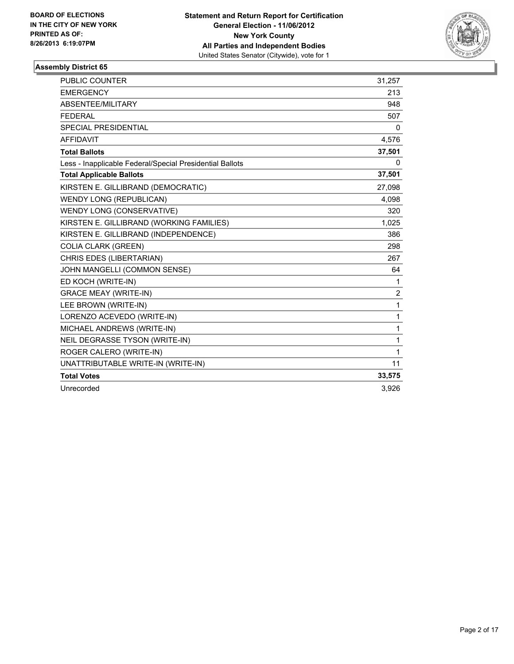

| <b>PUBLIC COUNTER</b>                                    | 31,257         |
|----------------------------------------------------------|----------------|
| <b>EMERGENCY</b>                                         | 213            |
| ABSENTEE/MILITARY                                        | 948            |
| <b>FEDERAL</b>                                           | 507            |
| SPECIAL PRESIDENTIAL                                     | 0              |
| <b>AFFIDAVIT</b>                                         | 4,576          |
| <b>Total Ballots</b>                                     | 37,501         |
| Less - Inapplicable Federal/Special Presidential Ballots | 0              |
| <b>Total Applicable Ballots</b>                          | 37,501         |
| KIRSTEN E. GILLIBRAND (DEMOCRATIC)                       | 27,098         |
| <b>WENDY LONG (REPUBLICAN)</b>                           | 4,098          |
| WENDY LONG (CONSERVATIVE)                                | 320            |
| KIRSTEN E. GILLIBRAND (WORKING FAMILIES)                 | 1,025          |
| KIRSTEN E. GILLIBRAND (INDEPENDENCE)                     | 386            |
| <b>COLIA CLARK (GREEN)</b>                               | 298            |
| CHRIS EDES (LIBERTARIAN)                                 | 267            |
| JOHN MANGELLI (COMMON SENSE)                             | 64             |
| ED KOCH (WRITE-IN)                                       | 1              |
| <b>GRACE MEAY (WRITE-IN)</b>                             | $\overline{2}$ |
| LEE BROWN (WRITE-IN)                                     | $\mathbf{1}$   |
| LORENZO ACEVEDO (WRITE-IN)                               | 1              |
| MICHAEL ANDREWS (WRITE-IN)                               | 1              |
| NEIL DEGRASSE TYSON (WRITE-IN)                           | 1              |
| ROGER CALERO (WRITE-IN)                                  | $\mathbf{1}$   |
| UNATTRIBUTABLE WRITE-IN (WRITE-IN)                       | 11             |
| <b>Total Votes</b>                                       | 33,575         |
| Unrecorded                                               | 3.926          |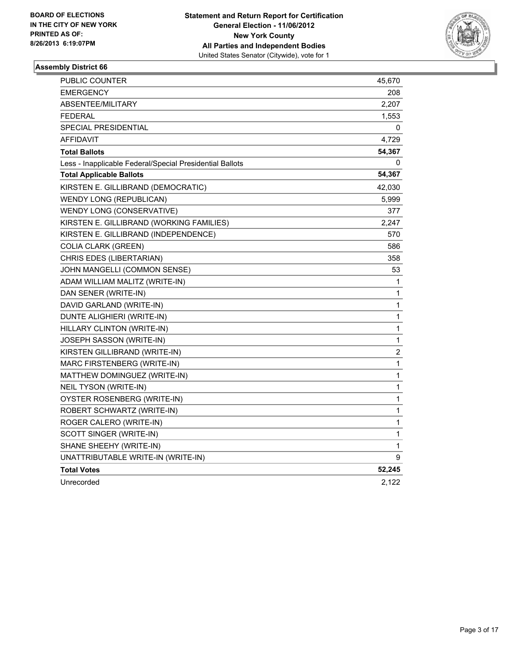

| PUBLIC COUNTER                                           | 45,670       |
|----------------------------------------------------------|--------------|
| <b>EMERGENCY</b>                                         | 208          |
| <b>ABSENTEE/MILITARY</b>                                 | 2,207        |
| <b>FEDERAL</b>                                           | 1,553        |
| <b>SPECIAL PRESIDENTIAL</b>                              | 0            |
| AFFIDAVIT                                                | 4,729        |
| <b>Total Ballots</b>                                     | 54,367       |
| Less - Inapplicable Federal/Special Presidential Ballots | 0            |
| <b>Total Applicable Ballots</b>                          | 54,367       |
| KIRSTEN E. GILLIBRAND (DEMOCRATIC)                       | 42,030       |
| <b>WENDY LONG (REPUBLICAN)</b>                           | 5,999        |
| WENDY LONG (CONSERVATIVE)                                | 377          |
| KIRSTEN E. GILLIBRAND (WORKING FAMILIES)                 | 2,247        |
| KIRSTEN E. GILLIBRAND (INDEPENDENCE)                     | 570          |
| <b>COLIA CLARK (GREEN)</b>                               | 586          |
| CHRIS EDES (LIBERTARIAN)                                 | 358          |
| JOHN MANGELLI (COMMON SENSE)                             | 53           |
| ADAM WILLIAM MALITZ (WRITE-IN)                           | 1            |
| DAN SENER (WRITE-IN)                                     | 1            |
| DAVID GARLAND (WRITE-IN)                                 | 1            |
| DUNTE ALIGHIERI (WRITE-IN)                               | 1            |
| HILLARY CLINTON (WRITE-IN)                               | $\mathbf 1$  |
| JOSEPH SASSON (WRITE-IN)                                 | 1            |
| KIRSTEN GILLIBRAND (WRITE-IN)                            | $\mathbf 2$  |
| MARC FIRSTENBERG (WRITE-IN)                              | 1            |
| MATTHEW DOMINGUEZ (WRITE-IN)                             | $\mathbf 1$  |
| NEIL TYSON (WRITE-IN)                                    | 1            |
| OYSTER ROSENBERG (WRITE-IN)                              | 1            |
| ROBERT SCHWARTZ (WRITE-IN)                               | 1            |
| ROGER CALERO (WRITE-IN)                                  | $\mathbf 1$  |
| SCOTT SINGER (WRITE-IN)                                  | 1            |
| SHANE SHEEHY (WRITE-IN)                                  | $\mathbf{1}$ |
| UNATTRIBUTABLE WRITE-IN (WRITE-IN)                       | 9            |
| <b>Total Votes</b>                                       | 52,245       |
| Unrecorded                                               | 2,122        |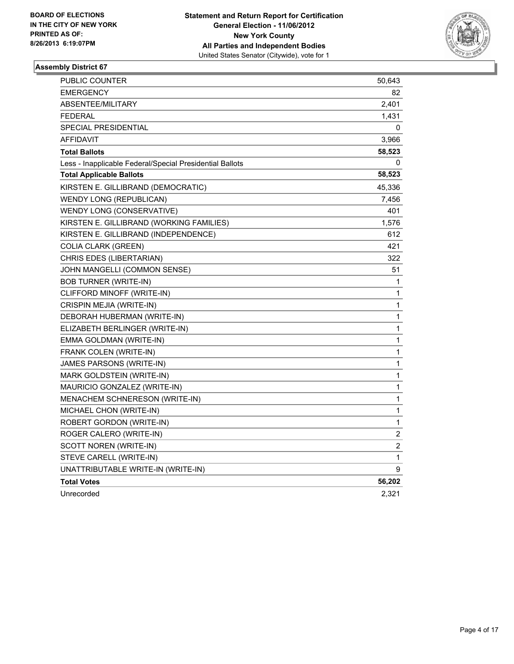

| PUBLIC COUNTER                                           | 50,643 |
|----------------------------------------------------------|--------|
| <b>EMERGENCY</b>                                         | 82     |
| <b>ABSENTEE/MILITARY</b>                                 | 2,401  |
| <b>FEDERAL</b>                                           | 1,431  |
| <b>SPECIAL PRESIDENTIAL</b>                              | 0      |
| <b>AFFIDAVIT</b>                                         | 3,966  |
| <b>Total Ballots</b>                                     | 58,523 |
| Less - Inapplicable Federal/Special Presidential Ballots | 0      |
| <b>Total Applicable Ballots</b>                          | 58,523 |
| KIRSTEN E. GILLIBRAND (DEMOCRATIC)                       | 45,336 |
| <b>WENDY LONG (REPUBLICAN)</b>                           | 7,456  |
| WENDY LONG (CONSERVATIVE)                                | 401    |
| KIRSTEN E. GILLIBRAND (WORKING FAMILIES)                 | 1,576  |
| KIRSTEN E. GILLIBRAND (INDEPENDENCE)                     | 612    |
| <b>COLIA CLARK (GREEN)</b>                               | 421    |
| CHRIS EDES (LIBERTARIAN)                                 | 322    |
| JOHN MANGELLI (COMMON SENSE)                             | 51     |
| <b>BOB TURNER (WRITE-IN)</b>                             | 1      |
| CLIFFORD MINOFF (WRITE-IN)                               | 1      |
| CRISPIN MEJIA (WRITE-IN)                                 | 1      |
| DEBORAH HUBERMAN (WRITE-IN)                              | 1      |
| ELIZABETH BERLINGER (WRITE-IN)                           | 1      |
| EMMA GOLDMAN (WRITE-IN)                                  | 1      |
| FRANK COLEN (WRITE-IN)                                   | 1      |
| JAMES PARSONS (WRITE-IN)                                 | 1      |
| MARK GOLDSTEIN (WRITE-IN)                                | 1      |
| MAURICIO GONZALEZ (WRITE-IN)                             | 1      |
| MENACHEM SCHNERESON (WRITE-IN)                           | 1      |
| MICHAEL CHON (WRITE-IN)                                  | 1      |
| ROBERT GORDON (WRITE-IN)                                 | 1      |
| ROGER CALERO (WRITE-IN)                                  | 2      |
| SCOTT NOREN (WRITE-IN)                                   | 2      |
| STEVE CARELL (WRITE-IN)                                  | 1      |
| UNATTRIBUTABLE WRITE-IN (WRITE-IN)                       | 9      |
| <b>Total Votes</b>                                       | 56,202 |
| Unrecorded                                               | 2,321  |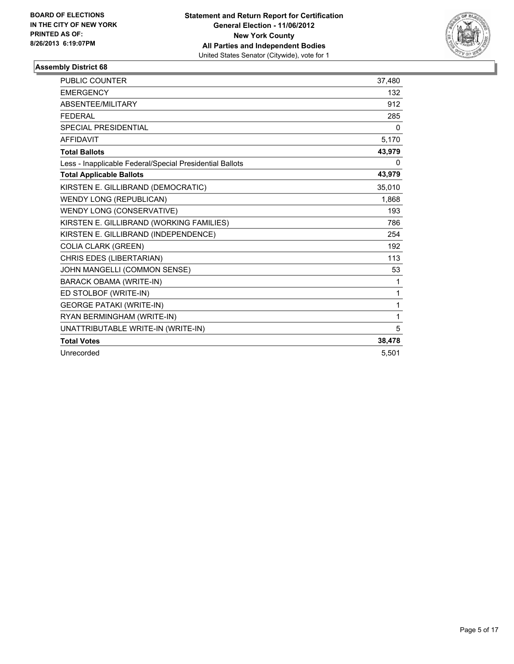

| <b>PUBLIC COUNTER</b>                                    | 37,480 |
|----------------------------------------------------------|--------|
| <b>EMERGENCY</b>                                         | 132    |
| ABSENTEE/MILITARY                                        | 912    |
| <b>FEDERAL</b>                                           | 285    |
| <b>SPECIAL PRESIDENTIAL</b>                              | 0      |
| <b>AFFIDAVIT</b>                                         | 5,170  |
| <b>Total Ballots</b>                                     | 43,979 |
| Less - Inapplicable Federal/Special Presidential Ballots | 0      |
| <b>Total Applicable Ballots</b>                          | 43,979 |
| KIRSTEN E. GILLIBRAND (DEMOCRATIC)                       | 35,010 |
| <b>WENDY LONG (REPUBLICAN)</b>                           | 1,868  |
| WENDY LONG (CONSERVATIVE)                                | 193    |
| KIRSTEN E. GILLIBRAND (WORKING FAMILIES)                 | 786    |
| KIRSTEN E. GILLIBRAND (INDEPENDENCE)                     | 254    |
| <b>COLIA CLARK (GREEN)</b>                               | 192    |
| CHRIS EDES (LIBERTARIAN)                                 | 113    |
| JOHN MANGELLI (COMMON SENSE)                             | 53     |
| <b>BARACK OBAMA (WRITE-IN)</b>                           | 1      |
| ED STOLBOF (WRITE-IN)                                    | 1      |
| <b>GEORGE PATAKI (WRITE-IN)</b>                          | 1      |
| RYAN BERMINGHAM (WRITE-IN)                               | 1      |
| UNATTRIBUTABLE WRITE-IN (WRITE-IN)                       | 5      |
| <b>Total Votes</b>                                       | 38,478 |
| Unrecorded                                               | 5.501  |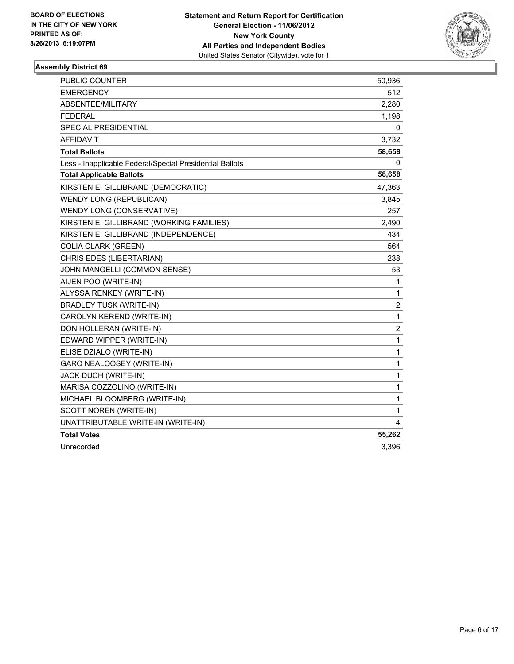

| <b>PUBLIC COUNTER</b>                                    | 50,936         |
|----------------------------------------------------------|----------------|
| <b>EMERGENCY</b>                                         | 512            |
| ABSENTEE/MILITARY                                        | 2,280          |
| <b>FEDERAL</b>                                           | 1,198          |
| <b>SPECIAL PRESIDENTIAL</b>                              | 0              |
| <b>AFFIDAVIT</b>                                         | 3,732          |
| <b>Total Ballots</b>                                     | 58,658         |
| Less - Inapplicable Federal/Special Presidential Ballots | 0              |
| <b>Total Applicable Ballots</b>                          | 58,658         |
| KIRSTEN E. GILLIBRAND (DEMOCRATIC)                       | 47,363         |
| <b>WENDY LONG (REPUBLICAN)</b>                           | 3,845          |
| WENDY LONG (CONSERVATIVE)                                | 257            |
| KIRSTEN E. GILLIBRAND (WORKING FAMILIES)                 | 2,490          |
| KIRSTEN E. GILLIBRAND (INDEPENDENCE)                     | 434            |
| <b>COLIA CLARK (GREEN)</b>                               | 564            |
| CHRIS EDES (LIBERTARIAN)                                 | 238            |
| JOHN MANGELLI (COMMON SENSE)                             | 53             |
| AIJEN POO (WRITE-IN)                                     | 1              |
| ALYSSA RENKEY (WRITE-IN)                                 | 1              |
| <b>BRADLEY TUSK (WRITE-IN)</b>                           | 2              |
| CAROLYN KEREND (WRITE-IN)                                | 1              |
| DON HOLLERAN (WRITE-IN)                                  | $\overline{c}$ |
| EDWARD WIPPER (WRITE-IN)                                 | $\mathbf 1$    |
| ELISE DZIALO (WRITE-IN)                                  | 1              |
| GARO NEALOOSEY (WRITE-IN)                                | 1              |
| JACK DUCH (WRITE-IN)                                     | 1              |
| MARISA COZZOLINO (WRITE-IN)                              | 1              |
| MICHAEL BLOOMBERG (WRITE-IN)                             | 1              |
| SCOTT NOREN (WRITE-IN)                                   | $\mathbf{1}$   |
| UNATTRIBUTABLE WRITE-IN (WRITE-IN)                       | 4              |
| <b>Total Votes</b>                                       | 55,262         |
| Unrecorded                                               | 3,396          |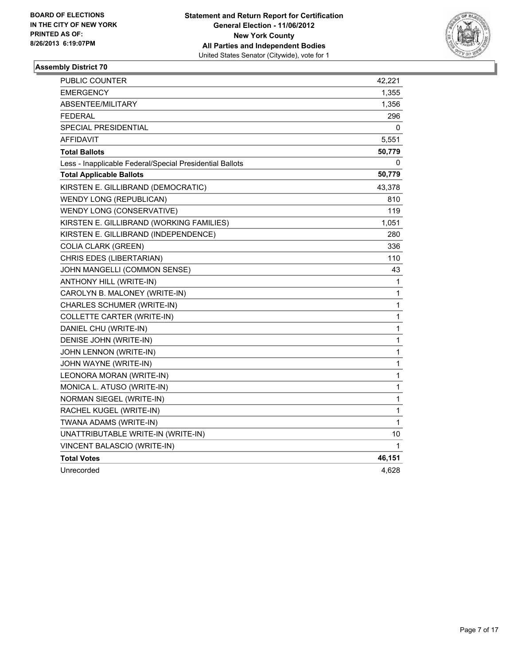

| PUBLIC COUNTER                                           | 42,221 |
|----------------------------------------------------------|--------|
| <b>EMERGENCY</b>                                         | 1,355  |
| ABSENTEE/MILITARY                                        | 1,356  |
| <b>FEDERAL</b>                                           | 296    |
| SPECIAL PRESIDENTIAL                                     | 0      |
| <b>AFFIDAVIT</b>                                         | 5,551  |
| <b>Total Ballots</b>                                     | 50,779 |
| Less - Inapplicable Federal/Special Presidential Ballots | 0      |
| <b>Total Applicable Ballots</b>                          | 50,779 |
| KIRSTEN E. GILLIBRAND (DEMOCRATIC)                       | 43,378 |
| <b>WENDY LONG (REPUBLICAN)</b>                           | 810    |
| WENDY LONG (CONSERVATIVE)                                | 119    |
| KIRSTEN E. GILLIBRAND (WORKING FAMILIES)                 | 1,051  |
| KIRSTEN E. GILLIBRAND (INDEPENDENCE)                     | 280    |
| <b>COLIA CLARK (GREEN)</b>                               | 336    |
| CHRIS EDES (LIBERTARIAN)                                 | 110    |
| JOHN MANGELLI (COMMON SENSE)                             | 43     |
| ANTHONY HILL (WRITE-IN)                                  | 1      |
| CAROLYN B. MALONEY (WRITE-IN)                            | 1      |
| CHARLES SCHUMER (WRITE-IN)                               | 1      |
| COLLETTE CARTER (WRITE-IN)                               | 1      |
| DANIEL CHU (WRITE-IN)                                    | 1      |
| DENISE JOHN (WRITE-IN)                                   | 1      |
| JOHN LENNON (WRITE-IN)                                   | 1      |
| JOHN WAYNE (WRITE-IN)                                    | 1      |
| LEONORA MORAN (WRITE-IN)                                 | 1      |
| MONICA L. ATUSO (WRITE-IN)                               | 1      |
| NORMAN SIEGEL (WRITE-IN)                                 | 1      |
| RACHEL KUGEL (WRITE-IN)                                  | 1      |
| TWANA ADAMS (WRITE-IN)                                   | 1      |
| UNATTRIBUTABLE WRITE-IN (WRITE-IN)                       | 10     |
| VINCENT BALASCIO (WRITE-IN)                              | 1      |
| <b>Total Votes</b>                                       | 46,151 |
| Unrecorded                                               | 4,628  |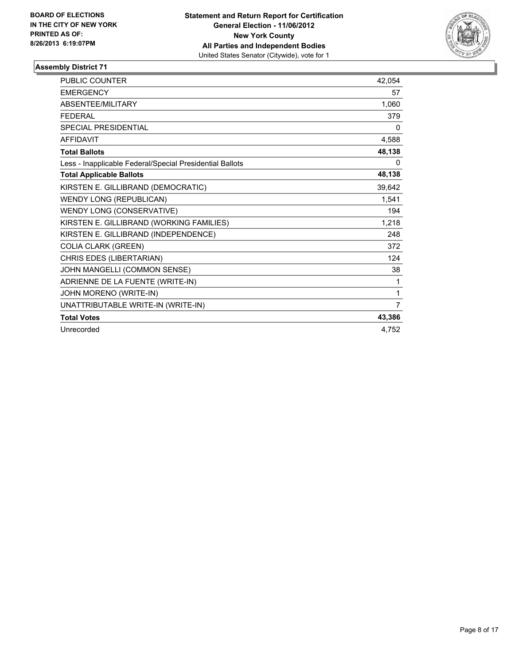

| <b>PUBLIC COUNTER</b>                                    | 42,054         |
|----------------------------------------------------------|----------------|
| <b>EMERGENCY</b>                                         | 57             |
| <b>ABSENTEE/MILITARY</b>                                 | 1,060          |
| <b>FEDERAL</b>                                           | 379            |
| <b>SPECIAL PRESIDENTIAL</b>                              | 0              |
| <b>AFFIDAVIT</b>                                         | 4,588          |
| <b>Total Ballots</b>                                     | 48,138         |
| Less - Inapplicable Federal/Special Presidential Ballots | 0              |
| <b>Total Applicable Ballots</b>                          | 48,138         |
| KIRSTEN E. GILLIBRAND (DEMOCRATIC)                       | 39,642         |
| <b>WENDY LONG (REPUBLICAN)</b>                           | 1,541          |
| WENDY LONG (CONSERVATIVE)                                | 194            |
| KIRSTEN E. GILLIBRAND (WORKING FAMILIES)                 | 1,218          |
| KIRSTEN E. GILLIBRAND (INDEPENDENCE)                     | 248            |
| <b>COLIA CLARK (GREEN)</b>                               | 372            |
| CHRIS EDES (LIBERTARIAN)                                 | 124            |
| JOHN MANGELLI (COMMON SENSE)                             | 38             |
| ADRIENNE DE LA FUENTE (WRITE-IN)                         | 1              |
| JOHN MORENO (WRITE-IN)                                   | 1              |
| UNATTRIBUTABLE WRITE-IN (WRITE-IN)                       | $\overline{7}$ |
| <b>Total Votes</b>                                       | 43,386         |
| Unrecorded                                               | 4.752          |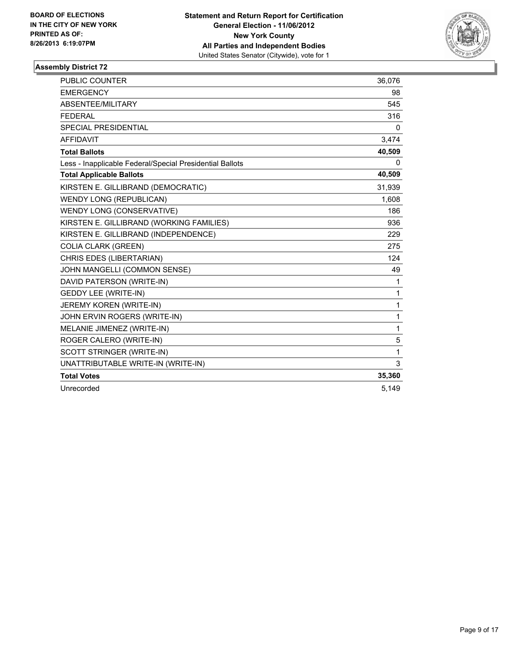

| PUBLIC COUNTER                                           | 36,076       |
|----------------------------------------------------------|--------------|
| <b>EMERGENCY</b>                                         | 98           |
| ABSENTEE/MILITARY                                        | 545          |
| <b>FEDERAL</b>                                           | 316          |
| <b>SPECIAL PRESIDENTIAL</b>                              | 0            |
| <b>AFFIDAVIT</b>                                         | 3,474        |
| <b>Total Ballots</b>                                     | 40,509       |
| Less - Inapplicable Federal/Special Presidential Ballots | 0            |
| <b>Total Applicable Ballots</b>                          | 40,509       |
| KIRSTEN E. GILLIBRAND (DEMOCRATIC)                       | 31,939       |
| <b>WENDY LONG (REPUBLICAN)</b>                           | 1,608        |
| WENDY LONG (CONSERVATIVE)                                | 186          |
| KIRSTEN E. GILLIBRAND (WORKING FAMILIES)                 | 936          |
| KIRSTEN E. GILLIBRAND (INDEPENDENCE)                     | 229          |
| <b>COLIA CLARK (GREEN)</b>                               | 275          |
| CHRIS EDES (LIBERTARIAN)                                 | 124          |
| JOHN MANGELLI (COMMON SENSE)                             | 49           |
| DAVID PATERSON (WRITE-IN)                                | 1            |
| <b>GEDDY LEE (WRITE-IN)</b>                              | 1            |
| JEREMY KOREN (WRITE-IN)                                  | $\mathbf{1}$ |
| JOHN ERVIN ROGERS (WRITE-IN)                             | $\mathbf{1}$ |
| MELANIE JIMENEZ (WRITE-IN)                               | $\mathbf{1}$ |
| ROGER CALERO (WRITE-IN)                                  | 5            |
| SCOTT STRINGER (WRITE-IN)                                | $\mathbf{1}$ |
| UNATTRIBUTABLE WRITE-IN (WRITE-IN)                       | 3            |
| <b>Total Votes</b>                                       | 35,360       |
| Unrecorded                                               | 5.149        |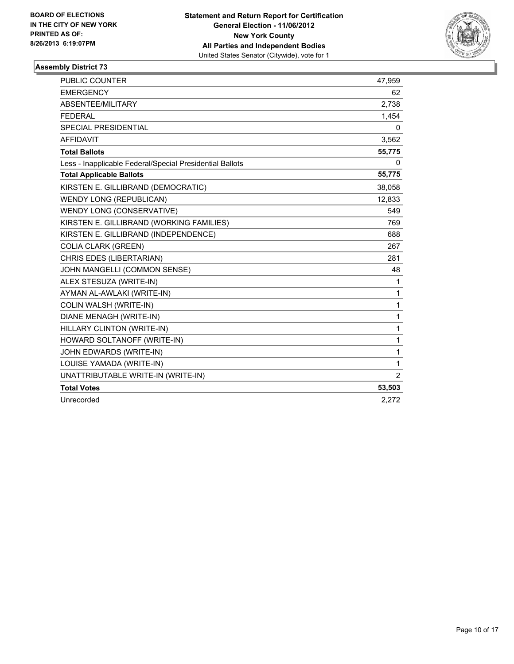

| <b>PUBLIC COUNTER</b>                                    | 47,959         |
|----------------------------------------------------------|----------------|
| <b>EMERGENCY</b>                                         | 62             |
| ABSENTEE/MILITARY                                        | 2,738          |
| <b>FEDERAL</b>                                           | 1,454          |
| <b>SPECIAL PRESIDENTIAL</b>                              | 0              |
| <b>AFFIDAVIT</b>                                         | 3,562          |
| <b>Total Ballots</b>                                     | 55,775         |
| Less - Inapplicable Federal/Special Presidential Ballots | 0              |
| <b>Total Applicable Ballots</b>                          | 55,775         |
| KIRSTEN E. GILLIBRAND (DEMOCRATIC)                       | 38,058         |
| <b>WENDY LONG (REPUBLICAN)</b>                           | 12,833         |
| WENDY LONG (CONSERVATIVE)                                | 549            |
| KIRSTEN E. GILLIBRAND (WORKING FAMILIES)                 | 769            |
| KIRSTEN E. GILLIBRAND (INDEPENDENCE)                     | 688            |
| <b>COLIA CLARK (GREEN)</b>                               | 267            |
| CHRIS EDES (LIBERTARIAN)                                 | 281            |
| JOHN MANGELLI (COMMON SENSE)                             | 48             |
| ALEX STESUZA (WRITE-IN)                                  | 1              |
| AYMAN AL-AWLAKI (WRITE-IN)                               | $\mathbf{1}$   |
| COLIN WALSH (WRITE-IN)                                   | 1              |
| DIANE MENAGH (WRITE-IN)                                  | $\mathbf{1}$   |
| HILLARY CLINTON (WRITE-IN)                               | $\mathbf{1}$   |
| HOWARD SOLTANOFF (WRITE-IN)                              | $\mathbf{1}$   |
| JOHN EDWARDS (WRITE-IN)                                  | $\mathbf{1}$   |
| LOUISE YAMADA (WRITE-IN)                                 | $\mathbf{1}$   |
| UNATTRIBUTABLE WRITE-IN (WRITE-IN)                       | $\overline{2}$ |
| <b>Total Votes</b>                                       | 53,503         |
| Unrecorded                                               | 2,272          |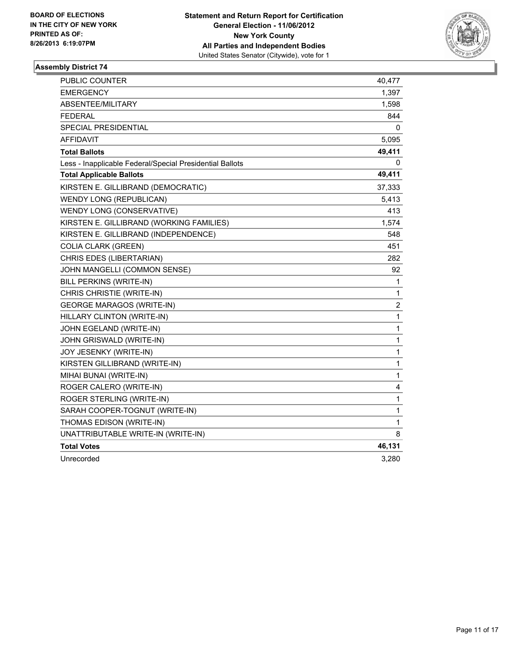

| PUBLIC COUNTER                                           | 40,477                  |
|----------------------------------------------------------|-------------------------|
| <b>EMERGENCY</b>                                         | 1,397                   |
| ABSENTEE/MILITARY                                        | 1,598                   |
| <b>FEDERAL</b>                                           | 844                     |
| <b>SPECIAL PRESIDENTIAL</b>                              | 0                       |
| <b>AFFIDAVIT</b>                                         | 5,095                   |
| <b>Total Ballots</b>                                     | 49,411                  |
| Less - Inapplicable Federal/Special Presidential Ballots | 0                       |
| <b>Total Applicable Ballots</b>                          | 49,411                  |
| KIRSTEN E. GILLIBRAND (DEMOCRATIC)                       | 37,333                  |
| WENDY LONG (REPUBLICAN)                                  | 5,413                   |
| WENDY LONG (CONSERVATIVE)                                | 413                     |
| KIRSTEN E. GILLIBRAND (WORKING FAMILIES)                 | 1,574                   |
| KIRSTEN E. GILLIBRAND (INDEPENDENCE)                     | 548                     |
| <b>COLIA CLARK (GREEN)</b>                               | 451                     |
| CHRIS EDES (LIBERTARIAN)                                 | 282                     |
| JOHN MANGELLI (COMMON SENSE)                             | 92                      |
| BILL PERKINS (WRITE-IN)                                  | 1                       |
| CHRIS CHRISTIE (WRITE-IN)                                | $\mathbf{1}$            |
| <b>GEORGE MARAGOS (WRITE-IN)</b>                         | $\overline{\mathbf{c}}$ |
| HILLARY CLINTON (WRITE-IN)                               | 1                       |
| JOHN EGELAND (WRITE-IN)                                  | $\mathbf{1}$            |
| JOHN GRISWALD (WRITE-IN)                                 | $\mathbf{1}$            |
| JOY JESENKY (WRITE-IN)                                   | $\mathbf{1}$            |
| KIRSTEN GILLIBRAND (WRITE-IN)                            | 1                       |
| MIHAI BUNAI (WRITE-IN)                                   | 1                       |
| ROGER CALERO (WRITE-IN)                                  | 4                       |
| ROGER STERLING (WRITE-IN)                                | $\mathbf{1}$            |
| SARAH COOPER-TOGNUT (WRITE-IN)                           | $\mathbf 1$             |
| THOMAS EDISON (WRITE-IN)                                 | 1                       |
| UNATTRIBUTABLE WRITE-IN (WRITE-IN)                       | 8                       |
| <b>Total Votes</b>                                       | 46,131                  |
| Unrecorded                                               | 3,280                   |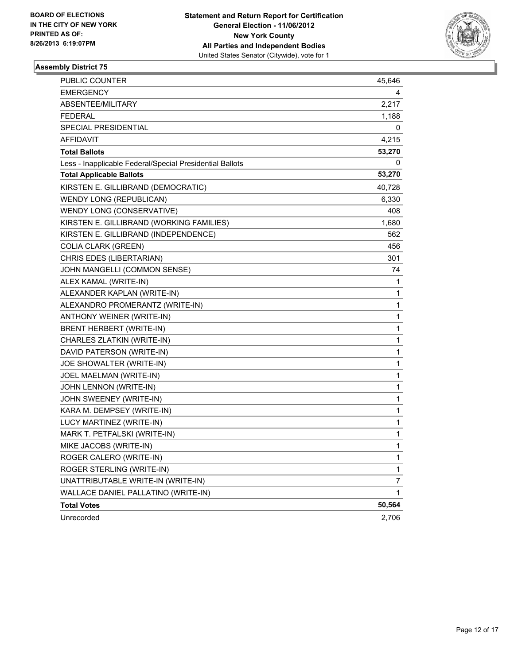

| PUBLIC COUNTER                                           | 45,646 |
|----------------------------------------------------------|--------|
| <b>EMERGENCY</b>                                         | 4      |
| ABSENTEE/MILITARY                                        | 2,217  |
| <b>FEDERAL</b>                                           | 1,188  |
| <b>SPECIAL PRESIDENTIAL</b>                              | 0      |
| AFFIDAVIT                                                | 4,215  |
| <b>Total Ballots</b>                                     | 53,270 |
| Less - Inapplicable Federal/Special Presidential Ballots | 0      |
| <b>Total Applicable Ballots</b>                          | 53,270 |
| KIRSTEN E. GILLIBRAND (DEMOCRATIC)                       | 40,728 |
| WENDY LONG (REPUBLICAN)                                  | 6,330  |
| WENDY LONG (CONSERVATIVE)                                | 408    |
| KIRSTEN E. GILLIBRAND (WORKING FAMILIES)                 | 1,680  |
| KIRSTEN E. GILLIBRAND (INDEPENDENCE)                     | 562    |
| <b>COLIA CLARK (GREEN)</b>                               | 456    |
| CHRIS EDES (LIBERTARIAN)                                 | 301    |
| JOHN MANGELLI (COMMON SENSE)                             | 74     |
| ALEX KAMAL (WRITE-IN)                                    | 1      |
| ALEXANDER KAPLAN (WRITE-IN)                              | 1      |
| ALEXANDRO PROMERANTZ (WRITE-IN)                          | 1      |
| ANTHONY WEINER (WRITE-IN)                                | 1      |
| BRENT HERBERT (WRITE-IN)                                 | 1      |
| CHARLES ZLATKIN (WRITE-IN)                               | 1      |
| DAVID PATERSON (WRITE-IN)                                | 1      |
| JOE SHOWALTER (WRITE-IN)                                 | 1      |
| JOEL MAELMAN (WRITE-IN)                                  | 1      |
| JOHN LENNON (WRITE-IN)                                   | 1      |
| JOHN SWEENEY (WRITE-IN)                                  | 1      |
| KARA M. DEMPSEY (WRITE-IN)                               | 1      |
| LUCY MARTINEZ (WRITE-IN)                                 | 1      |
| MARK T. PETFALSKI (WRITE-IN)                             | 1      |
| MIKE JACOBS (WRITE-IN)                                   | 1      |
| ROGER CALERO (WRITE-IN)                                  | 1      |
| ROGER STERLING (WRITE-IN)                                | 1      |
| UNATTRIBUTABLE WRITE-IN (WRITE-IN)                       | 7      |
| WALLACE DANIEL PALLATINO (WRITE-IN)                      | 1      |
| <b>Total Votes</b>                                       | 50,564 |
| Unrecorded                                               | 2,706  |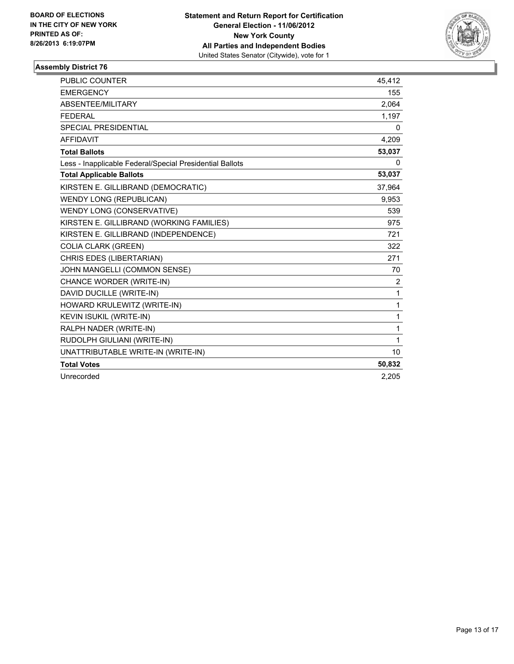

| <b>PUBLIC COUNTER</b>                                    | 45,412 |
|----------------------------------------------------------|--------|
| <b>EMERGENCY</b>                                         | 155    |
| ABSENTEE/MILITARY                                        | 2,064  |
| <b>FEDERAL</b>                                           | 1,197  |
| <b>SPECIAL PRESIDENTIAL</b>                              | 0      |
| <b>AFFIDAVIT</b>                                         | 4,209  |
| <b>Total Ballots</b>                                     | 53,037 |
| Less - Inapplicable Federal/Special Presidential Ballots | 0      |
| <b>Total Applicable Ballots</b>                          | 53,037 |
| KIRSTEN E. GILLIBRAND (DEMOCRATIC)                       | 37,964 |
| <b>WENDY LONG (REPUBLICAN)</b>                           | 9,953  |
| WENDY LONG (CONSERVATIVE)                                | 539    |
| KIRSTEN E. GILLIBRAND (WORKING FAMILIES)                 | 975    |
| KIRSTEN E. GILLIBRAND (INDEPENDENCE)                     | 721    |
| <b>COLIA CLARK (GREEN)</b>                               | 322    |
| CHRIS EDES (LIBERTARIAN)                                 | 271    |
| JOHN MANGELLI (COMMON SENSE)                             | 70     |
| CHANCE WORDER (WRITE-IN)                                 | 2      |
| DAVID DUCILLE (WRITE-IN)                                 | 1      |
| HOWARD KRULEWITZ (WRITE-IN)                              | 1      |
| KEVIN ISUKIL (WRITE-IN)                                  | 1      |
| RALPH NADER (WRITE-IN)                                   | 1      |
| RUDOLPH GIULIANI (WRITE-IN)                              | 1      |
| UNATTRIBUTABLE WRITE-IN (WRITE-IN)                       | 10     |
| <b>Total Votes</b>                                       | 50,832 |
| Unrecorded                                               | 2.205  |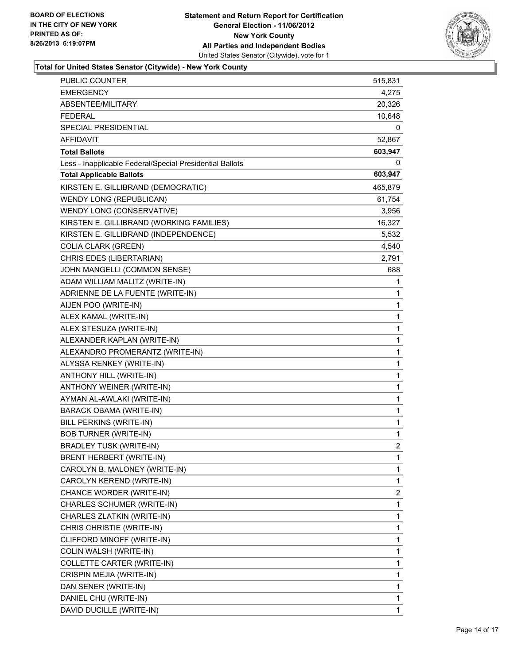

### **Total for United States Senator (Citywide) - New York County**

| PUBLIC COUNTER                                           | 515,831 |
|----------------------------------------------------------|---------|
| <b>EMERGENCY</b>                                         | 4,275   |
| ABSENTEE/MILITARY                                        | 20,326  |
| <b>FEDERAL</b>                                           | 10,648  |
| SPECIAL PRESIDENTIAL                                     | 0       |
| AFFIDAVIT                                                | 52,867  |
| <b>Total Ballots</b>                                     | 603,947 |
| Less - Inapplicable Federal/Special Presidential Ballots | 0       |
| <b>Total Applicable Ballots</b>                          | 603,947 |
| KIRSTEN E. GILLIBRAND (DEMOCRATIC)                       | 465,879 |
| <b>WENDY LONG (REPUBLICAN)</b>                           | 61,754  |
| WENDY LONG (CONSERVATIVE)                                | 3,956   |
| KIRSTEN E. GILLIBRAND (WORKING FAMILIES)                 | 16,327  |
| KIRSTEN E. GILLIBRAND (INDEPENDENCE)                     | 5,532   |
| <b>COLIA CLARK (GREEN)</b>                               | 4,540   |
| CHRIS EDES (LIBERTARIAN)                                 | 2,791   |
| JOHN MANGELLI (COMMON SENSE)                             | 688     |
| ADAM WILLIAM MALITZ (WRITE-IN)                           | 1       |
| ADRIENNE DE LA FUENTE (WRITE-IN)                         | 1       |
| AIJEN POO (WRITE-IN)                                     | 1       |
| ALEX KAMAL (WRITE-IN)                                    | 1       |
| ALEX STESUZA (WRITE-IN)                                  | 1       |
| ALEXANDER KAPLAN (WRITE-IN)                              | 1       |
| ALEXANDRO PROMERANTZ (WRITE-IN)                          | 1       |
| ALYSSA RENKEY (WRITE-IN)                                 | 1       |
| ANTHONY HILL (WRITE-IN)                                  | 1       |
| ANTHONY WEINER (WRITE-IN)                                | 1       |
| AYMAN AL-AWLAKI (WRITE-IN)                               | 1       |
| <b>BARACK OBAMA (WRITE-IN)</b>                           | 1       |
| BILL PERKINS (WRITE-IN)                                  | 1       |
| <b>BOB TURNER (WRITE-IN)</b>                             | 1       |
| <b>BRADLEY TUSK (WRITE-IN)</b>                           | 2       |
| BRENT HERBERT (WRITE-IN)                                 | 1       |
| CAROLYN B. MALONEY (WRITE-IN)                            | 1       |
| CAROLYN KEREND (WRITE-IN)                                | 1       |
| CHANCE WORDER (WRITE-IN)                                 | 2       |
| CHARLES SCHUMER (WRITE-IN)                               | 1       |
| CHARLES ZLATKIN (WRITE-IN)                               | 1       |
| CHRIS CHRISTIE (WRITE-IN)                                | 1       |
| CLIFFORD MINOFF (WRITE-IN)                               | 1       |
| COLIN WALSH (WRITE-IN)                                   | 1       |
| COLLETTE CARTER (WRITE-IN)                               | 1       |
| CRISPIN MEJIA (WRITE-IN)                                 | 1       |
| DAN SENER (WRITE-IN)                                     | 1       |
| DANIEL CHU (WRITE-IN)                                    | 1       |
| DAVID DUCILLE (WRITE-IN)                                 | 1       |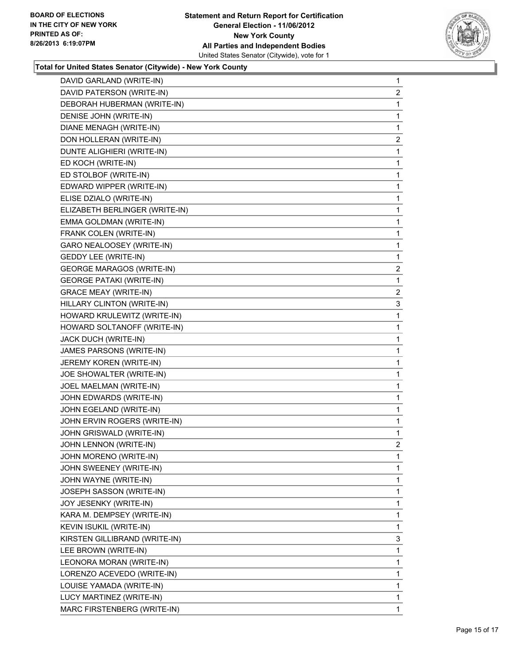

#### **Total for United States Senator (Citywide) - New York County**

| DAVID PATERSON (WRITE-IN)<br>$\mathbf{2}$<br>DEBORAH HUBERMAN (WRITE-IN)<br>1<br>DENISE JOHN (WRITE-IN)<br>1<br>DIANE MENAGH (WRITE-IN)<br>1<br>DON HOLLERAN (WRITE-IN)<br>2<br>DUNTE ALIGHIERI (WRITE-IN)<br>1<br>ED KOCH (WRITE-IN)<br>1<br>ED STOLBOF (WRITE-IN)<br>1<br>EDWARD WIPPER (WRITE-IN)<br>1<br>ELISE DZIALO (WRITE-IN)<br>1<br>ELIZABETH BERLINGER (WRITE-IN)<br>1<br>EMMA GOLDMAN (WRITE-IN)<br>1<br>FRANK COLEN (WRITE-IN)<br>1<br>GARO NEALOOSEY (WRITE-IN)<br>1<br><b>GEDDY LEE (WRITE-IN)</b><br>1<br><b>GEORGE MARAGOS (WRITE-IN)</b><br>2<br><b>GEORGE PATAKI (WRITE-IN)</b><br>1<br><b>GRACE MEAY (WRITE-IN)</b><br>$\mathbf{2}$<br>HILLARY CLINTON (WRITE-IN)<br>3<br>HOWARD KRULEWITZ (WRITE-IN)<br>1<br>HOWARD SOLTANOFF (WRITE-IN)<br>1<br>JACK DUCH (WRITE-IN)<br>1<br>JAMES PARSONS (WRITE-IN)<br>1<br>JEREMY KOREN (WRITE-IN)<br>1<br>JOE SHOWALTER (WRITE-IN)<br>1<br>JOEL MAELMAN (WRITE-IN)<br>1<br>JOHN EDWARDS (WRITE-IN)<br>1<br>JOHN EGELAND (WRITE-IN)<br>1<br>JOHN ERVIN ROGERS (WRITE-IN)<br>1<br>JOHN GRISWALD (WRITE-IN)<br>1<br>JOHN LENNON (WRITE-IN)<br>2<br>JOHN MORENO (WRITE-IN)<br>1<br>$\mathbf{1}$<br>JOHN SWEENEY (WRITE-IN)<br>1<br>JOHN WAYNE (WRITE-IN)<br>JOSEPH SASSON (WRITE-IN)<br>1<br>1<br>JOY JESENKY (WRITE-IN)<br>$\mathbf{1}$<br>KARA M. DEMPSEY (WRITE-IN)<br>KEVIN ISUKIL (WRITE-IN)<br>1<br>KIRSTEN GILLIBRAND (WRITE-IN)<br>3<br>LEE BROWN (WRITE-IN)<br>1<br>LEONORA MORAN (WRITE-IN)<br>1<br>LORENZO ACEVEDO (WRITE-IN)<br>1<br>$\mathbf{1}$<br>LOUISE YAMADA (WRITE-IN)<br>LUCY MARTINEZ (WRITE-IN)<br>1<br>MARC FIRSTENBERG (WRITE-IN)<br>$\mathbf{1}$ | DAVID GARLAND (WRITE-IN) | $\mathbf 1$ |
|--------------------------------------------------------------------------------------------------------------------------------------------------------------------------------------------------------------------------------------------------------------------------------------------------------------------------------------------------------------------------------------------------------------------------------------------------------------------------------------------------------------------------------------------------------------------------------------------------------------------------------------------------------------------------------------------------------------------------------------------------------------------------------------------------------------------------------------------------------------------------------------------------------------------------------------------------------------------------------------------------------------------------------------------------------------------------------------------------------------------------------------------------------------------------------------------------------------------------------------------------------------------------------------------------------------------------------------------------------------------------------------------------------------------------------------------------------------------------------------------------------------------------------------------------------------------------------------------------------------------------------|--------------------------|-------------|
|                                                                                                                                                                                                                                                                                                                                                                                                                                                                                                                                                                                                                                                                                                                                                                                                                                                                                                                                                                                                                                                                                                                                                                                                                                                                                                                                                                                                                                                                                                                                                                                                                                |                          |             |
|                                                                                                                                                                                                                                                                                                                                                                                                                                                                                                                                                                                                                                                                                                                                                                                                                                                                                                                                                                                                                                                                                                                                                                                                                                                                                                                                                                                                                                                                                                                                                                                                                                |                          |             |
|                                                                                                                                                                                                                                                                                                                                                                                                                                                                                                                                                                                                                                                                                                                                                                                                                                                                                                                                                                                                                                                                                                                                                                                                                                                                                                                                                                                                                                                                                                                                                                                                                                |                          |             |
|                                                                                                                                                                                                                                                                                                                                                                                                                                                                                                                                                                                                                                                                                                                                                                                                                                                                                                                                                                                                                                                                                                                                                                                                                                                                                                                                                                                                                                                                                                                                                                                                                                |                          |             |
|                                                                                                                                                                                                                                                                                                                                                                                                                                                                                                                                                                                                                                                                                                                                                                                                                                                                                                                                                                                                                                                                                                                                                                                                                                                                                                                                                                                                                                                                                                                                                                                                                                |                          |             |
|                                                                                                                                                                                                                                                                                                                                                                                                                                                                                                                                                                                                                                                                                                                                                                                                                                                                                                                                                                                                                                                                                                                                                                                                                                                                                                                                                                                                                                                                                                                                                                                                                                |                          |             |
|                                                                                                                                                                                                                                                                                                                                                                                                                                                                                                                                                                                                                                                                                                                                                                                                                                                                                                                                                                                                                                                                                                                                                                                                                                                                                                                                                                                                                                                                                                                                                                                                                                |                          |             |
|                                                                                                                                                                                                                                                                                                                                                                                                                                                                                                                                                                                                                                                                                                                                                                                                                                                                                                                                                                                                                                                                                                                                                                                                                                                                                                                                                                                                                                                                                                                                                                                                                                |                          |             |
|                                                                                                                                                                                                                                                                                                                                                                                                                                                                                                                                                                                                                                                                                                                                                                                                                                                                                                                                                                                                                                                                                                                                                                                                                                                                                                                                                                                                                                                                                                                                                                                                                                |                          |             |
|                                                                                                                                                                                                                                                                                                                                                                                                                                                                                                                                                                                                                                                                                                                                                                                                                                                                                                                                                                                                                                                                                                                                                                                                                                                                                                                                                                                                                                                                                                                                                                                                                                |                          |             |
|                                                                                                                                                                                                                                                                                                                                                                                                                                                                                                                                                                                                                                                                                                                                                                                                                                                                                                                                                                                                                                                                                                                                                                                                                                                                                                                                                                                                                                                                                                                                                                                                                                |                          |             |
|                                                                                                                                                                                                                                                                                                                                                                                                                                                                                                                                                                                                                                                                                                                                                                                                                                                                                                                                                                                                                                                                                                                                                                                                                                                                                                                                                                                                                                                                                                                                                                                                                                |                          |             |
|                                                                                                                                                                                                                                                                                                                                                                                                                                                                                                                                                                                                                                                                                                                                                                                                                                                                                                                                                                                                                                                                                                                                                                                                                                                                                                                                                                                                                                                                                                                                                                                                                                |                          |             |
|                                                                                                                                                                                                                                                                                                                                                                                                                                                                                                                                                                                                                                                                                                                                                                                                                                                                                                                                                                                                                                                                                                                                                                                                                                                                                                                                                                                                                                                                                                                                                                                                                                |                          |             |
|                                                                                                                                                                                                                                                                                                                                                                                                                                                                                                                                                                                                                                                                                                                                                                                                                                                                                                                                                                                                                                                                                                                                                                                                                                                                                                                                                                                                                                                                                                                                                                                                                                |                          |             |
|                                                                                                                                                                                                                                                                                                                                                                                                                                                                                                                                                                                                                                                                                                                                                                                                                                                                                                                                                                                                                                                                                                                                                                                                                                                                                                                                                                                                                                                                                                                                                                                                                                |                          |             |
|                                                                                                                                                                                                                                                                                                                                                                                                                                                                                                                                                                                                                                                                                                                                                                                                                                                                                                                                                                                                                                                                                                                                                                                                                                                                                                                                                                                                                                                                                                                                                                                                                                |                          |             |
|                                                                                                                                                                                                                                                                                                                                                                                                                                                                                                                                                                                                                                                                                                                                                                                                                                                                                                                                                                                                                                                                                                                                                                                                                                                                                                                                                                                                                                                                                                                                                                                                                                |                          |             |
|                                                                                                                                                                                                                                                                                                                                                                                                                                                                                                                                                                                                                                                                                                                                                                                                                                                                                                                                                                                                                                                                                                                                                                                                                                                                                                                                                                                                                                                                                                                                                                                                                                |                          |             |
|                                                                                                                                                                                                                                                                                                                                                                                                                                                                                                                                                                                                                                                                                                                                                                                                                                                                                                                                                                                                                                                                                                                                                                                                                                                                                                                                                                                                                                                                                                                                                                                                                                |                          |             |
|                                                                                                                                                                                                                                                                                                                                                                                                                                                                                                                                                                                                                                                                                                                                                                                                                                                                                                                                                                                                                                                                                                                                                                                                                                                                                                                                                                                                                                                                                                                                                                                                                                |                          |             |
|                                                                                                                                                                                                                                                                                                                                                                                                                                                                                                                                                                                                                                                                                                                                                                                                                                                                                                                                                                                                                                                                                                                                                                                                                                                                                                                                                                                                                                                                                                                                                                                                                                |                          |             |
|                                                                                                                                                                                                                                                                                                                                                                                                                                                                                                                                                                                                                                                                                                                                                                                                                                                                                                                                                                                                                                                                                                                                                                                                                                                                                                                                                                                                                                                                                                                                                                                                                                |                          |             |
|                                                                                                                                                                                                                                                                                                                                                                                                                                                                                                                                                                                                                                                                                                                                                                                                                                                                                                                                                                                                                                                                                                                                                                                                                                                                                                                                                                                                                                                                                                                                                                                                                                |                          |             |
|                                                                                                                                                                                                                                                                                                                                                                                                                                                                                                                                                                                                                                                                                                                                                                                                                                                                                                                                                                                                                                                                                                                                                                                                                                                                                                                                                                                                                                                                                                                                                                                                                                |                          |             |
|                                                                                                                                                                                                                                                                                                                                                                                                                                                                                                                                                                                                                                                                                                                                                                                                                                                                                                                                                                                                                                                                                                                                                                                                                                                                                                                                                                                                                                                                                                                                                                                                                                |                          |             |
|                                                                                                                                                                                                                                                                                                                                                                                                                                                                                                                                                                                                                                                                                                                                                                                                                                                                                                                                                                                                                                                                                                                                                                                                                                                                                                                                                                                                                                                                                                                                                                                                                                |                          |             |
|                                                                                                                                                                                                                                                                                                                                                                                                                                                                                                                                                                                                                                                                                                                                                                                                                                                                                                                                                                                                                                                                                                                                                                                                                                                                                                                                                                                                                                                                                                                                                                                                                                |                          |             |
|                                                                                                                                                                                                                                                                                                                                                                                                                                                                                                                                                                                                                                                                                                                                                                                                                                                                                                                                                                                                                                                                                                                                                                                                                                                                                                                                                                                                                                                                                                                                                                                                                                |                          |             |
|                                                                                                                                                                                                                                                                                                                                                                                                                                                                                                                                                                                                                                                                                                                                                                                                                                                                                                                                                                                                                                                                                                                                                                                                                                                                                                                                                                                                                                                                                                                                                                                                                                |                          |             |
|                                                                                                                                                                                                                                                                                                                                                                                                                                                                                                                                                                                                                                                                                                                                                                                                                                                                                                                                                                                                                                                                                                                                                                                                                                                                                                                                                                                                                                                                                                                                                                                                                                |                          |             |
|                                                                                                                                                                                                                                                                                                                                                                                                                                                                                                                                                                                                                                                                                                                                                                                                                                                                                                                                                                                                                                                                                                                                                                                                                                                                                                                                                                                                                                                                                                                                                                                                                                |                          |             |
|                                                                                                                                                                                                                                                                                                                                                                                                                                                                                                                                                                                                                                                                                                                                                                                                                                                                                                                                                                                                                                                                                                                                                                                                                                                                                                                                                                                                                                                                                                                                                                                                                                |                          |             |
|                                                                                                                                                                                                                                                                                                                                                                                                                                                                                                                                                                                                                                                                                                                                                                                                                                                                                                                                                                                                                                                                                                                                                                                                                                                                                                                                                                                                                                                                                                                                                                                                                                |                          |             |
|                                                                                                                                                                                                                                                                                                                                                                                                                                                                                                                                                                                                                                                                                                                                                                                                                                                                                                                                                                                                                                                                                                                                                                                                                                                                                                                                                                                                                                                                                                                                                                                                                                |                          |             |
|                                                                                                                                                                                                                                                                                                                                                                                                                                                                                                                                                                                                                                                                                                                                                                                                                                                                                                                                                                                                                                                                                                                                                                                                                                                                                                                                                                                                                                                                                                                                                                                                                                |                          |             |
|                                                                                                                                                                                                                                                                                                                                                                                                                                                                                                                                                                                                                                                                                                                                                                                                                                                                                                                                                                                                                                                                                                                                                                                                                                                                                                                                                                                                                                                                                                                                                                                                                                |                          |             |
|                                                                                                                                                                                                                                                                                                                                                                                                                                                                                                                                                                                                                                                                                                                                                                                                                                                                                                                                                                                                                                                                                                                                                                                                                                                                                                                                                                                                                                                                                                                                                                                                                                |                          |             |
|                                                                                                                                                                                                                                                                                                                                                                                                                                                                                                                                                                                                                                                                                                                                                                                                                                                                                                                                                                                                                                                                                                                                                                                                                                                                                                                                                                                                                                                                                                                                                                                                                                |                          |             |
|                                                                                                                                                                                                                                                                                                                                                                                                                                                                                                                                                                                                                                                                                                                                                                                                                                                                                                                                                                                                                                                                                                                                                                                                                                                                                                                                                                                                                                                                                                                                                                                                                                |                          |             |
|                                                                                                                                                                                                                                                                                                                                                                                                                                                                                                                                                                                                                                                                                                                                                                                                                                                                                                                                                                                                                                                                                                                                                                                                                                                                                                                                                                                                                                                                                                                                                                                                                                |                          |             |
|                                                                                                                                                                                                                                                                                                                                                                                                                                                                                                                                                                                                                                                                                                                                                                                                                                                                                                                                                                                                                                                                                                                                                                                                                                                                                                                                                                                                                                                                                                                                                                                                                                |                          |             |
|                                                                                                                                                                                                                                                                                                                                                                                                                                                                                                                                                                                                                                                                                                                                                                                                                                                                                                                                                                                                                                                                                                                                                                                                                                                                                                                                                                                                                                                                                                                                                                                                                                |                          |             |
|                                                                                                                                                                                                                                                                                                                                                                                                                                                                                                                                                                                                                                                                                                                                                                                                                                                                                                                                                                                                                                                                                                                                                                                                                                                                                                                                                                                                                                                                                                                                                                                                                                |                          |             |
|                                                                                                                                                                                                                                                                                                                                                                                                                                                                                                                                                                                                                                                                                                                                                                                                                                                                                                                                                                                                                                                                                                                                                                                                                                                                                                                                                                                                                                                                                                                                                                                                                                |                          |             |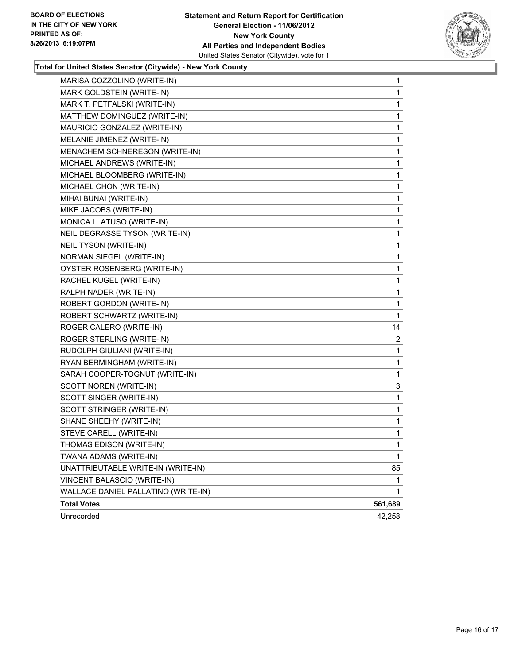

#### **Total for United States Senator (Citywide) - New York County**

| MARISA COZZOLINO (WRITE-IN)         | 1       |
|-------------------------------------|---------|
| MARK GOLDSTEIN (WRITE-IN)           | 1       |
| MARK T. PETFALSKI (WRITE-IN)        | 1       |
| MATTHEW DOMINGUEZ (WRITE-IN)        | 1       |
| MAURICIO GONZALEZ (WRITE-IN)        | 1       |
| MELANIE JIMENEZ (WRITE-IN)          | 1       |
| MENACHEM SCHNERESON (WRITE-IN)      | 1       |
| MICHAEL ANDREWS (WRITE-IN)          | 1       |
| MICHAEL BLOOMBERG (WRITE-IN)        | 1       |
| MICHAEL CHON (WRITE-IN)             | 1       |
| MIHAI BUNAI (WRITE-IN)              | 1       |
| MIKE JACOBS (WRITE-IN)              | 1       |
| MONICA L. ATUSO (WRITE-IN)          | 1       |
| NEIL DEGRASSE TYSON (WRITE-IN)      | 1       |
| NEIL TYSON (WRITE-IN)               | 1       |
| NORMAN SIEGEL (WRITE-IN)            | 1       |
| OYSTER ROSENBERG (WRITE-IN)         | 1       |
| RACHEL KUGEL (WRITE-IN)             | 1       |
| RALPH NADER (WRITE-IN)              | 1       |
| ROBERT GORDON (WRITE-IN)            | 1       |
| ROBERT SCHWARTZ (WRITE-IN)          | 1       |
| ROGER CALERO (WRITE-IN)             | 14      |
| ROGER STERLING (WRITE-IN)           | 2       |
| RUDOLPH GIULIANI (WRITE-IN)         | 1       |
| RYAN BERMINGHAM (WRITE-IN)          | 1       |
| SARAH COOPER-TOGNUT (WRITE-IN)      | 1       |
| SCOTT NOREN (WRITE-IN)              | 3       |
| SCOTT SINGER (WRITE-IN)             | 1       |
| SCOTT STRINGER (WRITE-IN)           | 1       |
| SHANE SHEEHY (WRITE-IN)             | 1       |
| STEVE CARELL (WRITE-IN)             | 1       |
| THOMAS EDISON (WRITE-IN)            | 1       |
| TWANA ADAMS (WRITE-IN)              | 1       |
| UNATTRIBUTABLE WRITE-IN (WRITE-IN)  | 85      |
| VINCENT BALASCIO (WRITE-IN)         | 1       |
| WALLACE DANIEL PALLATINO (WRITE-IN) | 1       |
| <b>Total Votes</b>                  | 561,689 |
| Unrecorded                          | 42,258  |